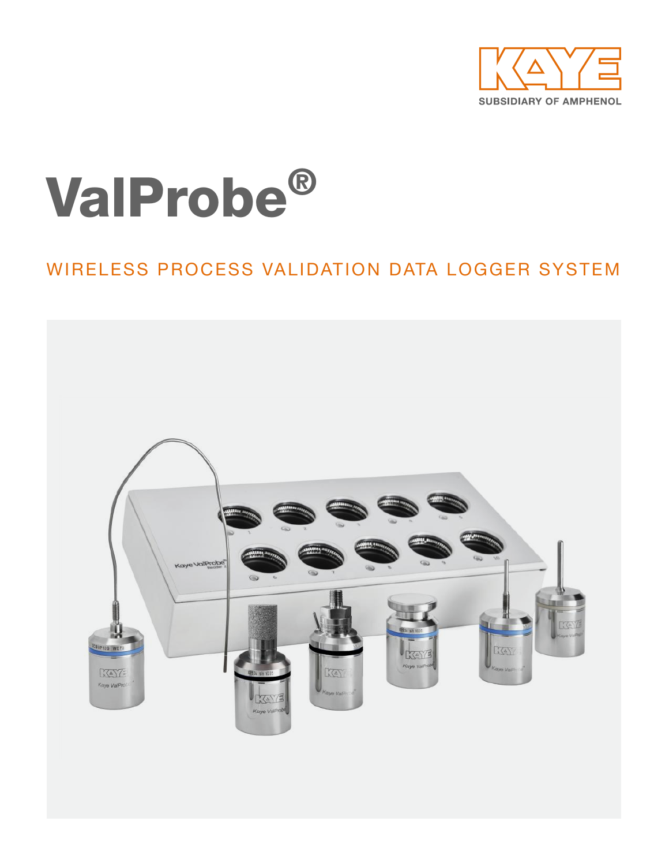

# ValProbe®

### WIRELESS PROCESS VALIDATION DATA LOGGER SYSTEM

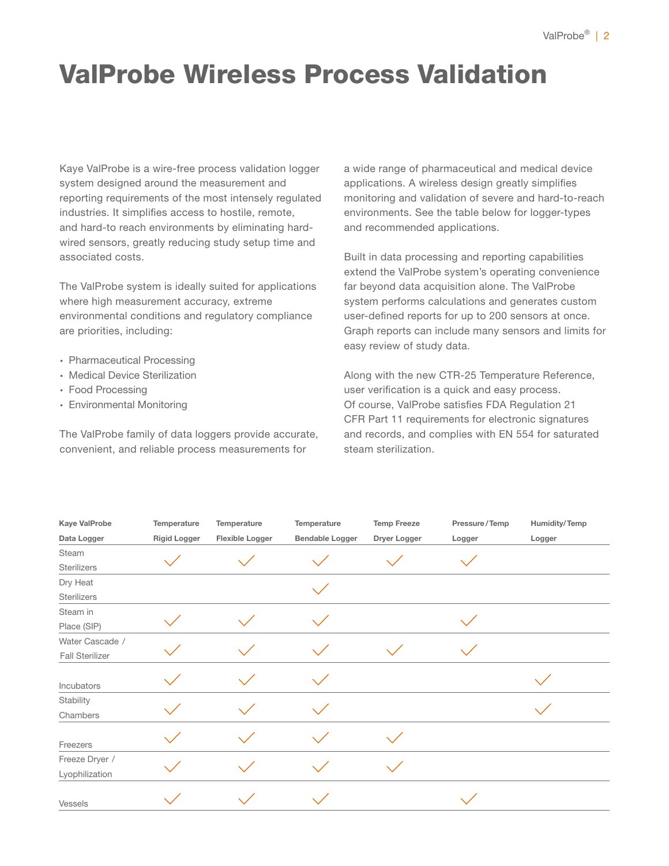### ValProbe Wireless Process Validation

Kaye ValProbe is a wire-free process validation logger system designed around the measurement and reporting requirements of the most intensely regulated industries. It simplifies access to hostile, remote, and hard-to reach environments by eliminating hardwired sensors, greatly reducing study setup time and associated costs.

The ValProbe system is ideally suited for applications where high measurement accuracy, extreme environmental conditions and regulatory compliance are priorities, including:

- ∙ Pharmaceutical Processing
- ∙ Medical Device Sterilization
- ∙ Food Processing
- ∙ Environmental Monitoring

The ValProbe family of data loggers provide accurate, convenient, and reliable process measurements for

a wide range of pharmaceutical and medical device applications. A wireless design greatly simplifies monitoring and validation of severe and hard-to-reach environments. See the table below for logger-types and recommended applications.

Built in data processing and reporting capabilities extend the ValProbe system's operating convenience far beyond data acquisition alone. The ValProbe system performs calculations and generates custom user-defined reports for up to 200 sensors at once. Graph reports can include many sensors and limits for easy review of study data.

Along with the new CTR-25 Temperature Reference, user verification is a quick and easy process. Of course, ValProbe satisfies FDA Regulation 21 CFR Part 11 requirements for electronic signatures and records, and complies with EN 554 for saturated steam sterilization.

| Kaye ValProbe          | Temperature         | Temperature     | Temperature            | <b>Temp Freeze</b> | Pressure/Temp | Humidity/Temp |
|------------------------|---------------------|-----------------|------------------------|--------------------|---------------|---------------|
| Data Logger            | <b>Rigid Logger</b> | Flexible Logger | <b>Bendable Logger</b> | Dryer Logger       | Logger        | Logger        |
| Steam                  |                     |                 |                        |                    |               |               |
| Sterilizers            |                     |                 |                        |                    |               |               |
| Dry Heat               |                     |                 |                        |                    |               |               |
| Sterilizers            |                     |                 |                        |                    |               |               |
| Steam in               |                     |                 |                        |                    |               |               |
| Place (SIP)            |                     |                 |                        |                    |               |               |
| Water Cascade /        |                     |                 |                        |                    |               |               |
| <b>Fall Sterilizer</b> |                     |                 |                        |                    |               |               |
| Incubators             |                     |                 |                        |                    |               |               |
| Stability              |                     |                 |                        |                    |               |               |
| Chambers               |                     |                 |                        |                    |               |               |
| Freezers               |                     |                 |                        |                    |               |               |
| Freeze Dryer /         |                     |                 |                        |                    |               |               |
| Lyophilization         |                     |                 |                        |                    |               |               |
| Vessels                |                     |                 |                        |                    |               |               |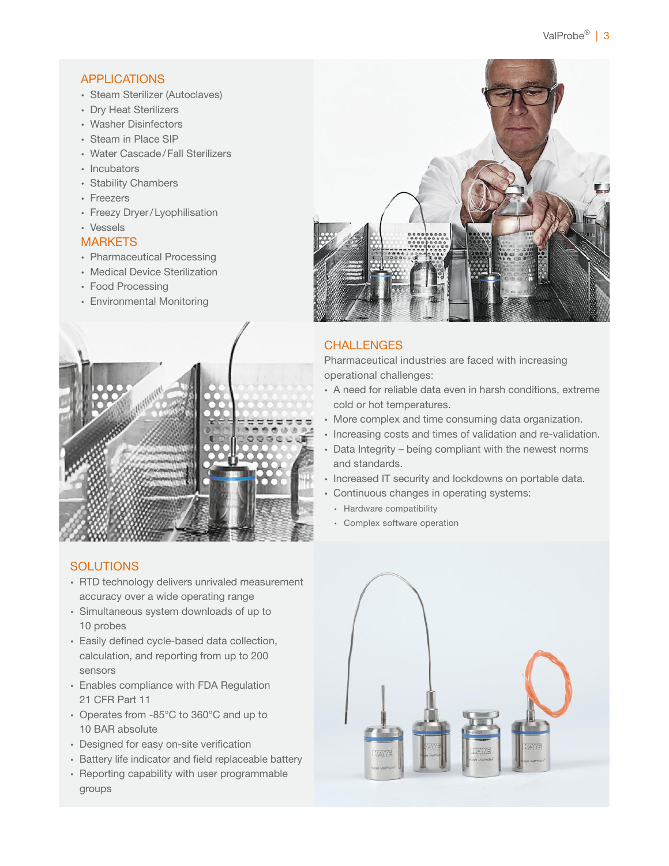### **APPLICATIONS**

- ∙ Steam Sterilizer (Autoclaves)
- ∙ Dry Heat Sterilizers
- ∙ Washer Disinfectors
- ∙ Steam in Place SIP
- ∙ Water Cascade/Fall Sterilizers
- ∙ Incubators
- ∙ Stability Chambers
- ∙ Freezers
- ∙ Freezy Dryer/Lyophilisation
- ∙ Vessels

### **MARKETS**

- ∙ Pharmaceutical Processing
- ∙ Medical Device Sterilization
- ∙ Food Processing
- ∙ Environmental Monitoring



### **SOLUTIONS**

- ∙ RTD technology delivers unrivaled measurement accuracy over a wide operating range
- ∙ Simultaneous system downloads of up to 10 probes
- ∙ Easily defined cycle-based data collection, calculation, and reporting from up to 200 sensors
- ∙ Enables compliance with FDA Regulation 21 CFR Part 11
- ∙ Operates from -85°C to 360°C and up to 10 BAR absolute
- ∙ Designed for easy on-site verification
- ∙ Battery life indicator and field replaceable battery
- ∙ Reporting capability with user programmable groups



### **CHALLENGES**

Pharmaceutical industries are faced with increasing operational challenges:

- ∙ A need for reliable data even in harsh conditions, extreme cold or hot temperatures.
- ∙ More complex and time consuming data organization.
- ∙ Increasing costs and times of validation and re-validation.
- ∙ Data Integrity being compliant with the newest norms and standards.
- ∙ Increased IT security and lockdowns on portable data.
- ∙ Continuous changes in operating systems:
	- ∙ Hardware compatibility
	- ∙ Complex software operation

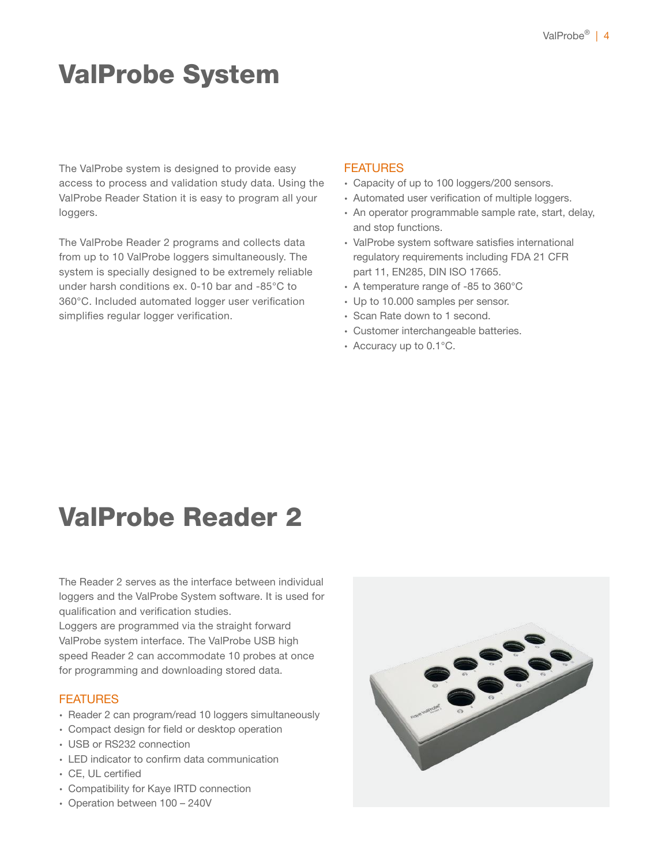# ValProbe System

The ValProbe system is designed to provide easy access to process and validation study data. Using the ValProbe Reader Station it is easy to program all your loggers.

The ValProbe Reader 2 programs and collects data from up to 10 ValProbe loggers simultaneously. The system is specially designed to be extremely reliable under harsh conditions ex. 0-10 bar and -85°C to 360°C. Included automated logger user verification simplifies regular logger verification.

### **FEATURES**

- ∙ Capacity of up to 100 loggers/200 sensors.
- ∙ Automated user verification of multiple loggers.
- ∙ An operator programmable sample rate, start, delay, and stop functions.
- ∙ ValProbe system software satisfies international regulatory requirements including FDA 21 CFR part 11, EN285, DIN ISO 17665.
- ∙ A temperature range of -85 to 360°C
- ∙ Up to 10.000 samples per sensor.
- ∙ Scan Rate down to 1 second.
- ∙ Customer interchangeable batteries.
- ∙ Accuracy up to 0.1°C.

### ValProbe Reader 2

The Reader 2 serves as the interface between individual loggers and the ValProbe System software. It is used for qualification and verification studies.

Loggers are programmed via the straight forward ValProbe system interface. The ValProbe USB high speed Reader 2 can accommodate 10 probes at once for programming and downloading stored data.

### **FEATURES**

- ∙ Reader 2 can program/read 10 loggers simultaneously
- ∙ Compact design for field or desktop operation
- ∙ USB or RS232 connection
- ∙ LED indicator to confirm data communication
- ∙ CE, UL certified
- ∙ Compatibility for Kaye IRTD connection
- ∙ Operation between 100 240V

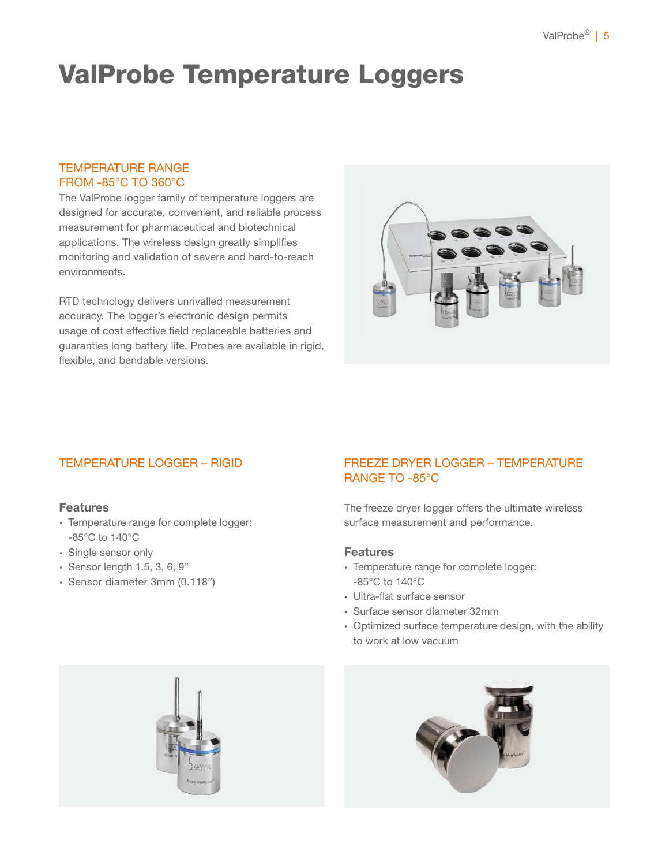# ValProbe Temperature Loggers

### TEMPERATURE RANGE FROM -85°C TO 360°C

The ValProbe logger family of temperature loggers are designed for accurate, convenient, and reliable process measurement for pharmaceutical and biotechnical applications. The wireless design greatly simplifies monitoring and validation of severe and hard-to-reach environments.

RTD technology delivers unrivalled measurement accuracy. The logger's electronic design permits usage of cost effective field replaceable batteries and guaranties long battery life. Probes are available in rigid, flexible, and bendable versions.



### TEMPERATURE LOGGER – RIGID

### Features

- ∙ Temperature range for complete logger: -85°C to 140°C
- ∙ Single sensor only
- ∙ Sensor length 1.5, 3, 6, 9"
- ∙ Sensor diameter 3mm (0.118")

### FREEZE DRYER LOGGER – TEMPERATURE RANGE TO -85°C

The freeze dryer logger offers the ultimate wireless surface measurement and performance.

### Features

- ∙ Temperature range for complete logger: -85°C to 140°C
- ∙ Ultra-flat surface sensor
- ∙ Surface sensor diameter 32mm
- ∙ Optimized surface temperature design, with the ability to work at low vacuum



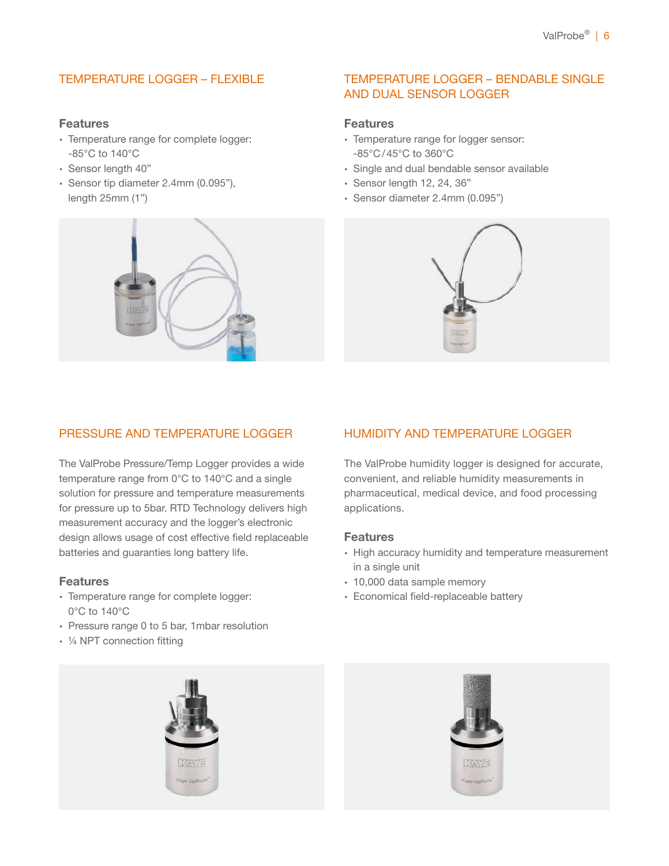### TEMPERATURE LOGGER – FLEXIBLE

### Features

- ∙ Temperature range for complete logger: -85°C to 140°C
- ∙ Sensor length 40"
- ∙ Sensor tip diameter 2.4mm (0.095"), length 25mm (1")



### TEMPERATURE LOGGER – BENDABLE SINGLE AND DUAL SENSOR LOGGER

### Features

- ∙ Temperature range for logger sensor: -85°C/45°C to 360°C
- ∙ Single and dual bendable sensor available
- ∙ Sensor length 12, 24, 36"
- ∙ Sensor diameter 2.4mm (0.095")



### PRESSURE AND TEMPERATURE LOGGER

The ValProbe Pressure/Temp Logger provides a wide temperature range from 0°C to 140°C and a single solution for pressure and temperature measurements for pressure up to 5bar. RTD Technology delivers high measurement accuracy and the logger's electronic design allows usage of cost effective field replaceable batteries and guaranties long battery life.

#### Features

- ∙ Temperature range for complete logger: 0°C to 140°C
- ∙ Pressure range 0 to 5 bar, 1mbar resolution
- ∙ ¼ NPT connection fitting



HUMIDITY AND TEMPERATURE LOGGER

convenient, and reliable humidity measurements in pharmaceutical, medical device, and food processing applications.

#### Features

- ∙ High accuracy humidity and temperature measurement in a single unit
- ∙ 10,000 data sample memory
- ∙ Economical field-replaceable battery



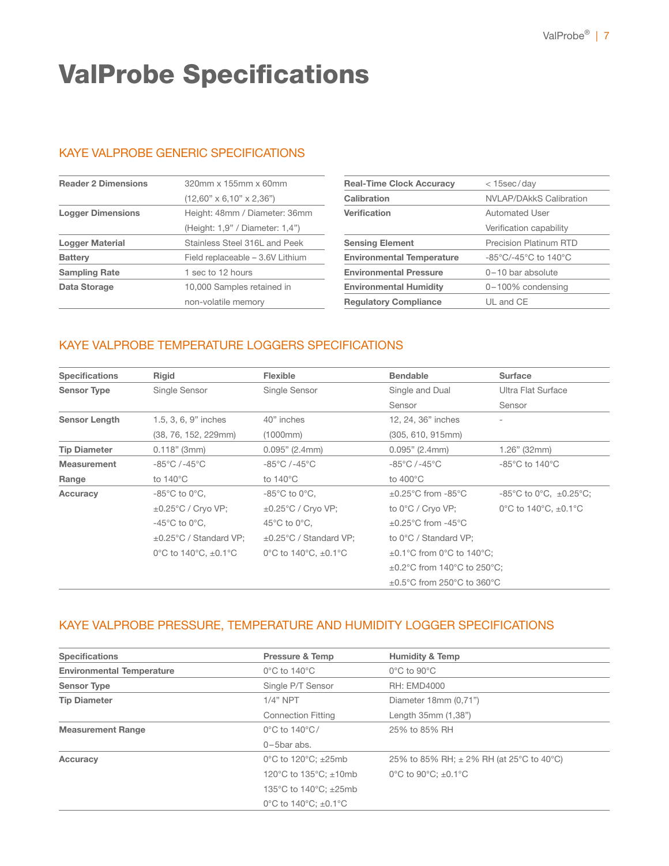### ValProbe Specifications

### KAYE VALPROBE GENERIC SPECIFICATIONS

| <b>Reader 2 Dimensions</b> | $320$ mm x $155$ mm x $60$ mm        |
|----------------------------|--------------------------------------|
|                            | $(12,60" \times 6,10" \times 2,36")$ |
| <b>Logger Dimensions</b>   | Height: 48mm / Diameter: 36mm        |
|                            | (Height: 1.9" / Diameter: 1.4")      |
| Logger Material            | Stainless Steel 316L and Peek        |
| <b>Battery</b>             | Field replaceable - 3.6V Lithium     |
| <b>Sampling Rate</b>       | 1 sec to 12 hours                    |
| Data Storage               | 10,000 Samples retained in           |
|                            | non-volatile memory                  |

| <b>Real-Time Clock Accuracy</b>  | $<$ 15sec/day                                        |  |
|----------------------------------|------------------------------------------------------|--|
| Calibration                      | <b>NVLAP/DAkkS Calibration</b>                       |  |
| Verification                     | Automated User                                       |  |
|                                  | Verification capability                              |  |
| <b>Sensing Element</b>           | <b>Precision Platinum RTD</b>                        |  |
| <b>Environmental Temperature</b> | $-85^{\circ}$ C/-45 $^{\circ}$ C to 140 $^{\circ}$ C |  |
| <b>Environmental Pressure</b>    | $0-10$ bar absolute                                  |  |
| <b>Environmental Humidity</b>    | 0-100% condensing                                    |  |
| <b>Regulatory Compliance</b>     | UL and CE                                            |  |
|                                  |                                                      |  |

### KAYE VALPROBE TEMPERATURE LOGGERS SPECIFICATIONS

| <b>Specifications</b> | Rigid                               | Flexible                            | <b>Bendable</b>                                                | <b>Surface</b>                                              |  |
|-----------------------|-------------------------------------|-------------------------------------|----------------------------------------------------------------|-------------------------------------------------------------|--|
| <b>Sensor Type</b>    | Single Sensor                       | Single Sensor                       | Single and Dual                                                | Ultra Flat Surface                                          |  |
|                       |                                     |                                     | Sensor                                                         | Sensor                                                      |  |
| <b>Sensor Length</b>  | 1.5, 3, 6, 9" inches                | 40" inches                          | 12, 24, 36" inches                                             |                                                             |  |
|                       | (38, 76, 152, 229mm)                | (1000mm)                            | (305, 610, 915mm)                                              |                                                             |  |
| <b>Tip Diameter</b>   | $0.118"$ (3mm)                      | 0.095" (2.4mm)                      | 0.095" (2.4mm)                                                 | $1.26$ " (32mm)                                             |  |
| <b>Measurement</b>    | $-85^{\circ}$ C / $-45^{\circ}$ C   | $-85^{\circ}$ C / $-45^{\circ}$ C   | $-85^{\circ}$ C / $-45^{\circ}$ C                              | $-85^{\circ}$ C to 140 $^{\circ}$ C                         |  |
| Range                 | to $140^{\circ}$ C                  | to $140^{\circ}$ C                  | to $400^{\circ}$ C                                             |                                                             |  |
| Accuracy              | $-85^{\circ}$ C to 0 $^{\circ}$ C,  | $-85^{\circ}$ C to 0 $^{\circ}$ C,  | $\pm 0.25^{\circ}$ C from -85 $^{\circ}$ C                     | $-85^{\circ}$ C to 0 $^{\circ}$ C, $\pm$ 0.25 $^{\circ}$ C; |  |
|                       | $\pm 0.25^{\circ}$ C / Cryo VP;     | $\pm 0.25^{\circ}$ C / Cryo VP;     | to 0°C / Cryo VP;                                              | 0°C to 140°C, $\pm$ 0.1°C                                   |  |
|                       | $-45^{\circ}$ C to 0 $^{\circ}$ C,  | $45^{\circ}$ C to 0 $^{\circ}$ C,   | $\pm 0.25^{\circ}$ C from -45 $^{\circ}$ C                     |                                                             |  |
|                       | $\pm 0.25^{\circ}$ C / Standard VP; | ±0.25°C / Standard VP;              | to 0°C / Standard VP;                                          |                                                             |  |
|                       | 0°C to 140°C, $\pm$ 0.1°C           | 0°C to $140^{\circ}$ C, $\pm$ 0.1°C | $\pm 0.1^{\circ}$ C from 0°C to 140°C;                         |                                                             |  |
|                       |                                     |                                     | $\pm 0.2^{\circ}$ C from 140 $^{\circ}$ C to 250 $^{\circ}$ C; |                                                             |  |
|                       |                                     |                                     | $\pm 0.5^{\circ}$ C from 250 $^{\circ}$ C to 360 $^{\circ}$ C  |                                                             |  |

### KAYE VALPROBE PRESSURE, TEMPERATURE AND HUMIDITY LOGGER SPECIFICATIONS

| <b>Specifications</b>            | <b>Pressure &amp; Temp</b>                    | <b>Humidity &amp; Temp</b>                               |
|----------------------------------|-----------------------------------------------|----------------------------------------------------------|
| <b>Environmental Temperature</b> | $0^{\circ}$ C to 140 $^{\circ}$ C             | $0^{\circ}$ C to $90^{\circ}$ C                          |
| <b>Sensor Type</b>               | Single P/T Sensor                             | <b>RH: EMD4000</b>                                       |
| <b>Tip Diameter</b>              | $1/4"$ NPT                                    | Diameter $18mm(0.71")$                                   |
|                                  | <b>Connection Fitting</b>                     | Length 35mm (1,38")                                      |
| <b>Measurement Range</b>         | $0^{\circ}$ C to 140 $^{\circ}$ C/            | 25% to 85% RH                                            |
|                                  | $0 - 5$ bar abs.                              |                                                          |
| Accuracy                         | $0^{\circ}$ C to 120 $^{\circ}$ C; $\pm$ 25mb | 25% to 85% RH; $\pm$ 2% RH (at 25°C to 40°C)             |
|                                  | 120°C to $135$ °C; $\pm$ 10mb                 | $0^{\circ}$ C to 90 $^{\circ}$ C: $\pm$ 0.1 $^{\circ}$ C |
|                                  | 135°C to 140°C; $\pm$ 25mb                    |                                                          |
|                                  | 0°C to $140^{\circ}$ C; $\pm$ 0.1°C           |                                                          |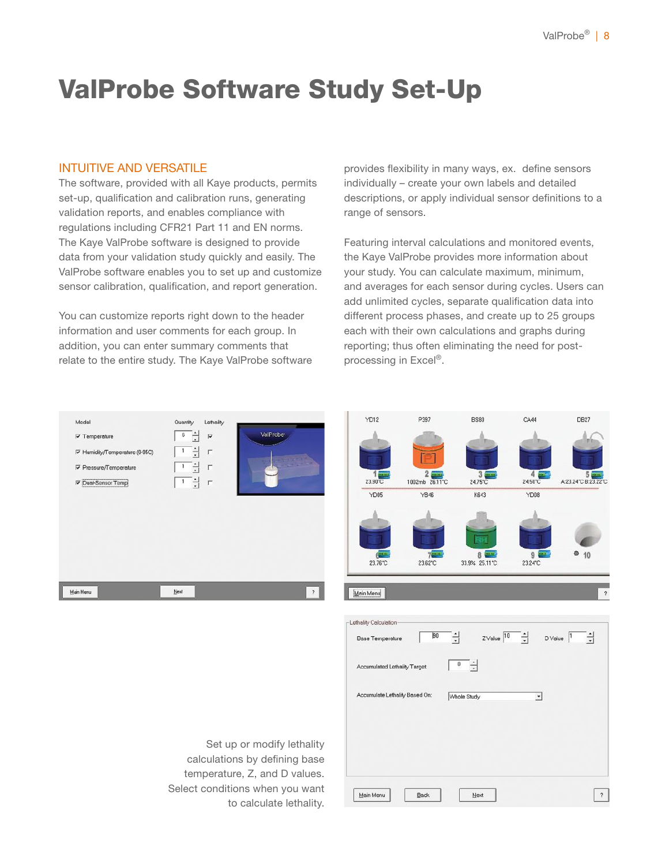**DB27** 

### ValProbe Software Study Set-Up

### INTUITIVE AND VERSATILE

The software, provided with all Kaye products, permits set-up, qualification and calibration runs, generating validation reports, and enables compliance with regulations including CFR21 Part 11 and EN norms. The Kaye ValProbe software is designed to provide data from your validation study quickly and easily. The ValProbe software enables you to set up and customize sensor calibration, qualification, and report generation.

You can customize reports right down to the header information and user comments for each group. In addition, you can enter summary comments that relate to the entire study. The Kaye ValProbe software provides flexibility in many ways, ex. define sensors individually – create your own labels and detailed descriptions, or apply individual sensor definitions to a range of sensors.

Featuring interval calculations and monitored events, the Kaye ValProbe provides more information about your study. You can calculate maximum, minimum, and averages for each sensor during cycles. Users can add unlimited cycles, separate qualification data into different process phases, and create up to 25 groups each with their own calculations and graphs during reporting; thus often eliminating the need for postprocessing in Excel®.

**BS80** 

**YD12** 

Accumulate Lethality Based On

Back

Main Menu

P397





Whole Study

 $Next$ 

 $\overline{\phantom{0}}$ 

 $\gamma$ 

Set up or modify lethality calculations by defining base temperature, Z, and D values. Select conditions when you want to calculate lethality.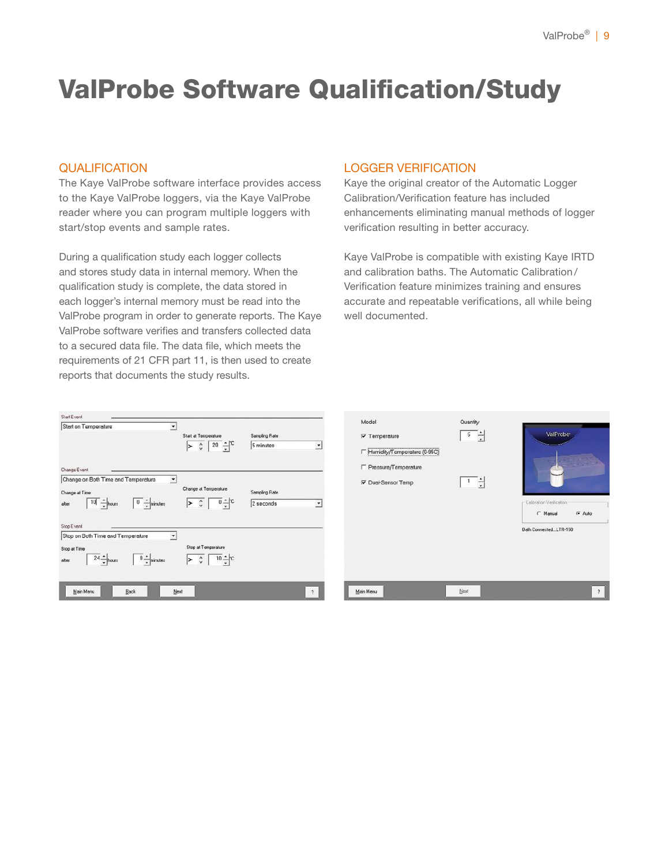### ValProbe Software Qualification/Study

### QUALIFICATION

The Kaye ValProbe software interface provides access to the Kaye ValProbe loggers, via the Kaye ValProbe reader where you can program multiple loggers with start/stop events and sample rates.

During a qualification study each logger collects and stores study data in internal memory. When the qualification study is complete, the data stored in each logger's internal memory must be read into the ValProbe program in order to generate reports. The Kaye ValProbe software verifies and transfers collected data to a secured data file. The data file, which meets the requirements of 21 CFR part 11, is then used to create reports that documents the study results.

### LOGGER VERIFICATION

Kaye the original creator of the Automatic Logger Calibration/Verification feature has included enhancements eliminating manual methods of logger verification resulting in better accuracy.

Kaye ValProbe is compatible with existing Kaye IRTD and calibration baths. The Automatic Calibration / Verification feature minimizes training and ensures accurate and repeatable verifications, all while being well documented.

| Start on Temperature                                                                                                           | 치    | Start at Temperature                                                               | Sampling Rate              |                      |
|--------------------------------------------------------------------------------------------------------------------------------|------|------------------------------------------------------------------------------------|----------------------------|----------------------|
|                                                                                                                                |      | $>$ $\frac{1}{2}$ $\frac{1}{20}$ $\frac{1}{2}$ $\frac{1}{2}$                       | 5 minutes                  |                      |
| Change Event                                                                                                                   |      |                                                                                    |                            |                      |
| Change on Both Time and Temperature<br>Change at Time<br>$10 - \frac{1}{2}$ hous<br>$\boxed{0}$ $\frac{1}{2}$ minutes<br>after |      | Change at Temperature<br>$\overline{0}$ $\div$ $\overline{c}$<br>$>$ $\frac{1}{2}$ | Sampling Rate<br>2 seconds | $\blacktriangledown$ |
| Stop Event                                                                                                                     |      |                                                                                    |                            |                      |
| Stop on Both Time and Temperature<br>Stop at Time<br>$24 - \text{hours}$<br>$\boxed{0 - \frac{1}{x}}$ minutes<br>after         | ۰    | Stop at Temperature<br>$>$ $\circ$ $\sqrt{10}$ $\div$ $\circ$                      |                            |                      |
| Main Menu<br>Back                                                                                                              | Next |                                                                                    |                            |                      |

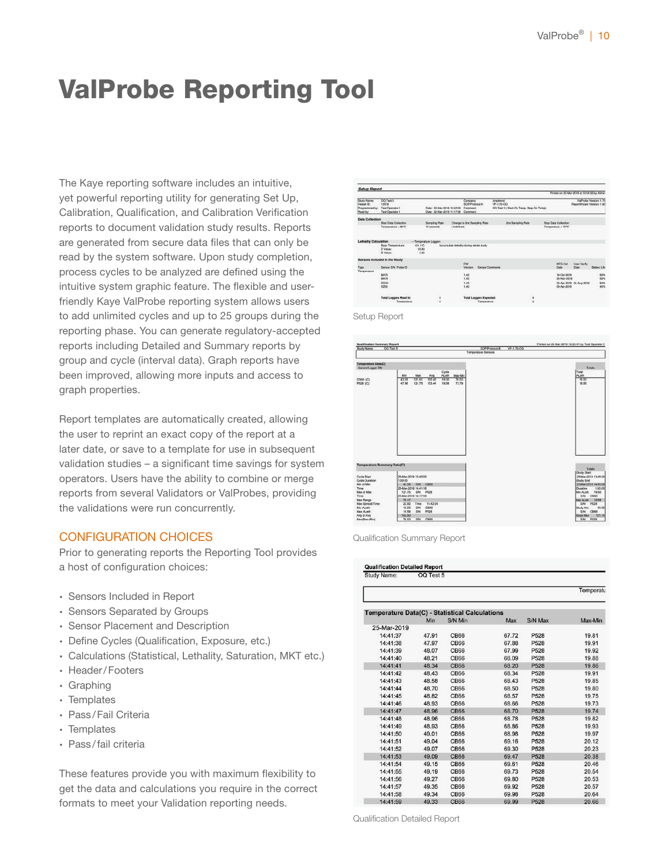### ValProbe Reporting Tool

The Kaye reporting software includes an intuitive, yet powerful reporting utility for generating Set Up, Calibration, Qualification, and Calibration Verification reports to document validation study results. Reports are generated from secure data files that can only be read by the system software. Upon study completion, process cycles to be analyzed are defined using the intuitive system graphic feature. The flexible and userfriendly Kaye ValProbe reporting system allows users to add unlimited cycles and up to 25 groups during the reporting phase. You can generate regulatory-accepted reports including Detailed and Summary reports by group and cycle (interval data). Graph reports have been improved, allowing more inputs and access to graph properties.

Report templates are automatically created, allowing the user to reprint an exact copy of the report at a later date, or save to a template for use in subsequent validation studies – a significant time savings for system operators. Users have the ability to combine or merge reports from several Validators or ValProbes, providing the validations were run concurrently.

### CONFIGURATION CHOICES

Prior to generating reports the Reporting Tool provides a host of configuration choices:

- ∙ Sensors Included in Report
- ∙ Sensors Separated by Groups
- ∙ Sensor Placement and Description
- ∙ Define Cycles (Qualification, Exposure, etc.)
- ∙ Calculations (Statistical, Lethality, Saturation, MKT etc.)
- ∙ Header/Footers
- ∙ Graphing
- ∙ Templates
- ∙ Pass/Fail Criteria
- ∙ Templates
- ∙ Pass/fail criteria

These features provide you with maximum flexibility to get the data and calculations you require in the correct formats to meet your Validation reporting needs.

| Study Name:<br>Veesel ID<br>Programmed by:<br>Plead by: | <b>CO Test 3</b><br>13579                         |                          |                                                                   |                                         |                                    |                                               | Anchese    |                                            |         |                      |                             |                       |
|---------------------------------------------------------|---------------------------------------------------|--------------------------|-------------------------------------------------------------------|-----------------------------------------|------------------------------------|-----------------------------------------------|------------|--------------------------------------------|---------|----------------------|-----------------------------|-----------------------|
|                                                         | Test Operator 1<br>Test Operator 1                |                          | Date: 22-Mar-2519 15:40:00<br>Date: 22-Mar-2019 11:17:36 Commont: |                                         | Corpany<br>SORRHHMAN #1<br>Command |                                               | YP-1.70-OO | OG Test 3   Start-On Terns, Stop-On Terns) |         |                      | Report/Visard Version: 1.80 | ValProbe Version 1.70 |
| <b>Data Collection</b>                                  |                                                   |                          |                                                                   |                                         |                                    |                                               |            |                                            |         |                      |                             |                       |
|                                                         | Start Data Collection                             |                          | Sarrairo Rata                                                     |                                         |                                    | Change to 2nd Sampling Rate                   |            | <b>2nd Sampling Rate</b>                   |         | Stop Data Collection |                             |                       |
|                                                         | Тепринали - 80 °С                                 |                          | 10 seconds                                                        | Undelined                               |                                    |                                               |            |                                            |         | Temperatura « 70°C   |                             |                       |
| <b>Lethality Calculation</b>                            |                                                   | -Temperature Loggard     |                                                                   |                                         |                                    |                                               |            |                                            |         |                      |                             |                       |
|                                                         | <b>Rose Terrographysic</b><br>Z Value:<br>D Volus | 121.110<br>10.00<br>1.00 |                                                                   | Accumulate lethality during whole study |                                    |                                               |            |                                            |         |                      |                             |                       |
|                                                         | Sensors Included in the Study                     |                          |                                                                   |                                         |                                    |                                               |            |                                            |         |                      |                             |                       |
|                                                         |                                                   |                          |                                                                   |                                         | <b>PW</b>                          |                                               |            |                                            |         | <b>MFG Cal</b>       | User Verly                  |                       |
| Type                                                    | Sensor SAI Probe ID                               |                          |                                                                   |                                         | Version                            | Senaor Comments                               |            |                                            |         | Date                 | Date                        | Dattery Life          |
| Torrgeration                                            | <b>BA75</b>                                       |                          |                                                                   |                                         | 1.43                               |                                               |            |                                            |         | 18-Del-2018          |                             | 80%                   |
|                                                         | <b>BA79</b>                                       |                          |                                                                   |                                         | 1.43                               |                                               |            |                                            |         | 26-Nov-2018          |                             | 50%                   |
|                                                         | DD20                                              |                          |                                                                   |                                         | 1.48                               |                                               |            |                                            |         |                      | 23 Apr 2018 04-Aug 2019     | 58%                   |
|                                                         | <b>KZ02</b>                                       |                          |                                                                   |                                         | 1.49                               |                                               |            |                                            |         | 09-Apr-2018          |                             | 40%                   |
|                                                         | <b>Total Loggers Read In:</b><br>Temperature      |                          | ٠<br>z                                                            |                                         |                                    | <b>Total Loggers Expected:</b><br>Temperature |            |                                            | 4<br>×. |                      |                             |                       |

Setup Report



Qualification Summary Report

| Study Name: | OQ Test 5 |                                                       |       |                  |           |
|-------------|-----------|-------------------------------------------------------|-------|------------------|-----------|
|             |           |                                                       |       |                  | Temperatu |
|             |           | <b>Temperature Data(C) - Statistical Calculations</b> |       |                  |           |
|             | Min       | S/N Min                                               | Max   | S/N Max          | Max-Min   |
| 25-Mar-2019 |           |                                                       |       |                  |           |
| 14:41:37    | 47.91     | <b>CB66</b>                                           | 67.72 | P528             | 19.81     |
| 14:41:38    | 47.97     | <b>CB66</b>                                           | 67.88 | P528             | 19.91     |
| 14:41:39    | 48.07     | <b>CB66</b>                                           | 67.99 | P528             | 19.92     |
| 14:41:40    | 48.21     | <b>CB66</b>                                           | 68.09 | P528             | 19.88     |
| 14:41:41    | 48.34     | <b>CB66</b>                                           | 68.20 | P528             | 19.86     |
| 14:41:42    | 48.43     | <b>CB66</b>                                           | 68.34 | P528             | 19.91     |
| 14:41:43    | 48.58     | <b>CB66</b>                                           | 68.43 | P528             | 19.85     |
| 14:41:44    | 48.70     | <b>CB66</b>                                           | 68.50 | P528             | 19.80     |
| 14:41:45    | 48.82     | <b>CB66</b>                                           | 68.57 | P528             | 19.75     |
| 14:41:46    | 48.93     | <b>CB66</b>                                           | 68.66 | P528             | 19.73     |
| 14:41:47    | 48.96     | <b>CB66</b>                                           | 68.70 | P528             | 19.74     |
| 14:41:48    | 48.96     | <b>CB66</b>                                           | 68.78 | P528             | 19.82     |
| 14:41:49    | 48.93     | <b>CB66</b>                                           | 68.86 | P528             | 19.93     |
| 14:41:50    | 49.01     | <b>CB66</b>                                           | 68.98 | P528             | 19.97     |
| 14:41:51    | 49.04     | <b>CB66</b>                                           | 69.16 | P528             | 20.12     |
| 14:41:52    | 49.07     | <b>CB66</b>                                           | 69.30 | P528             | 20.23     |
| 14:41:53    | 49.09     | <b>CB66</b>                                           | 69.47 | P528             | 20.38     |
| 14:41:54    | 49.15     | <b>CB66</b>                                           | 69.61 | P528             | 20.46     |
| 14:41:55    | 49.19     | <b>CB66</b>                                           | 69.73 | P528             | 20.54     |
| 14:41:56    | 49.27     | <b>CB66</b>                                           | 69.80 | P528             | 20.53     |
| 14:41:57    | 49.35     | <b>CB66</b>                                           | 69.92 | P528             | 20.57     |
| 14:41:58    | 49.34     | <b>CB66</b>                                           | 69.98 | P528             | 20.64     |
| 14:41:59    | 49.33     | CB66                                                  | 69.99 | P <sub>528</sub> | 20.66     |

Qualification Detailed Report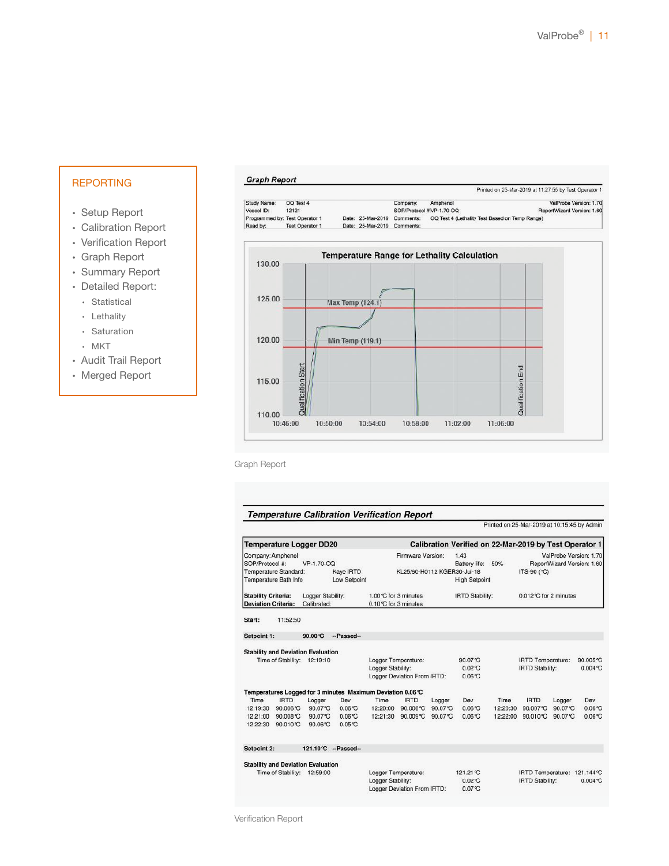Printed on 25-Mar-2019 at 11:27:55 by Test Operator 1

Printed on 25-Mar-2019 at 10:15:45 by Admin

#### REPORTING

#### ∙ Setup Report

- ∙ Calibration Report
- ∙ Verification Report
- ∙ Graph Report
- ∙ Summary Report
- ∙ Detailed Report:
	- ∙ Statistical
	- ∙ Lethality
	- ∙ Saturation
	- ∙ MKT
- ∙ Audit Trail Report
- ∙ Merged Report

#### **Graph Report**

| Study Name:                    | OQ Test 4              |                   | Company:  | Amphenol                                       | ValProbe Version: 1.70     |
|--------------------------------|------------------------|-------------------|-----------|------------------------------------------------|----------------------------|
| Vessel ID:                     | 12121                  |                   |           | SOP/Protocol #VP-1.70-OQ                       | ReportWizard Version: 1.60 |
| Programmed by: Test Operator 1 |                        | Date: 25-Mar-2019 | Comments: | OQ Test 4 (Lethality Test Based on Temp Range) |                            |
| Read by:                       | <b>Test Operator 1</b> | Date: 25-Mar-2019 | Comments: |                                                |                            |



Graph Report

#### **Temperature Calibration Verification Report**

Temperature Logger DD20 Calibration Verified on 22-Mar-2019 by Test Operator 1 ValProbe Version: 1.70 Company: Amphenol Firmware Version:  $1.43$ VP-1.70-OQ SOP/Protocol #: Battery life: 50% ReportWizard Version: 1.60 Kaye IRTD<br>Kaye IRTD<br>Low Setpoint Temperature Standard: KL25/60-H0112 KGER30-Jul-18 ITS-90 (°C) Temperature Bath Info **High Setpoint** Stability Criteria: Logger Stability: 1.00°C for 3 minutes **IRTD Stability:** 0.012℃ for 2 minutes Deviation Criteria: Calibrated: 0.10°C for 3 minutes Start: 11:52:50 Setpoint 1: 90.00°C --Passed--**Stability and Deviation Evaluation** Time of Stability: 12:19:10 Logger Temperature:<br>Logger Stability: 90.07 °C IRTD Temperature: 90,005°C  $0.02^{\circ}C$ **IRTD Stability:**  $0.004$  °C Logger Deviation From IRTD:  $0.06^{\circ}C$ Temperatures Logged for 3 minutes Maximum Deviation 0.06 °C **IRTD IRTD** Logger Dev Time **IRTD** Dev Time Logger Dev Time Logger 12:19:30 90.006℃ 90.07℃ 0.06℃ 12:20:00 90.006℃ 90.07℃  $0.06^{\circ}C$ 12:20:30 90.007℃ 90.07℃  $0.06C$ 12:21:00 90.008℃ 90.07℃  $0.06$ °C 12:21:30 90.009℃ 90.07℃ 0.06℃ 12:22:00 90.010℃ 90.07℃  $0.06C$ 12:22:30 90.010℃ 90.06℃ 0.05℃ Setpoint 2: 121.10℃ --Passed--**Stability and Deviation Evaluation** Logger Temperature:<br>Logger Stability: 121.21°C IRTD Temperature: 121.144°C Time of Stability: 12:59:00  $0.004$ °C  $0.02^{\circ}C$ **IRTD Stability:** Logger Deviation From IRTD:  $0.07^{\circ}C$ 

Verification Report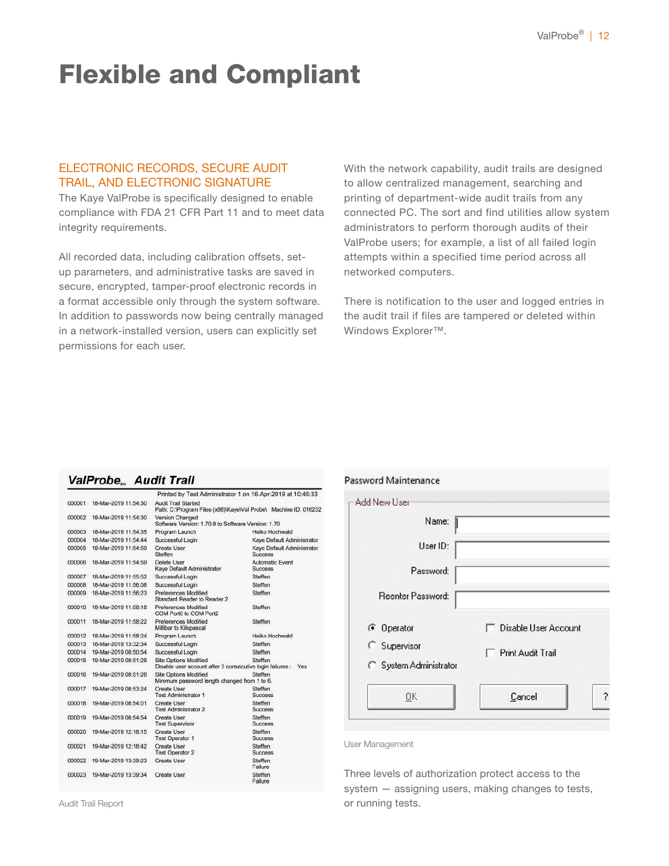### Flexible and Compliant

### ELECTRONIC RECORDS, SECURE AUDIT TRAIL, AND ELECTRONIC SIGNATURE

The Kaye ValProbe is specifically designed to enable compliance with FDA 21 CFR Part 11 and to meet data integrity requirements.

All recorded data, including calibration offsets, setup parameters, and administrative tasks are saved in secure, encrypted, tamper-proof electronic records in a format accessible only through the system software. In addition to passwords now being centrally managed in a network-installed version, users can explicitly set permissions for each user.

With the network capability, audit trails are designed to allow centralized management, searching and printing of department-wide audit trails from any connected PC. The sort and find utilities allow system administrators to perform thorough audits of their ValProbe users; for example, a list of all failed login attempts within a specified time period across all networked computers.

There is notification to the user and logged entries in the audit trail if files are tampered or deleted within Windows Explorer™.

#### **ValProbe... Audit Trail**

|        |                      |                                                                                               | Printed by Test Administrator 1 on 16-Apr-2019 at 10:46:33      |
|--------|----------------------|-----------------------------------------------------------------------------------------------|-----------------------------------------------------------------|
| 000001 | 18-Mar-2019 11:54:30 | <b>Audit Trail Started</b>                                                                    | Path: C:\Program Files (x86)\Kaye\Val Probe\ Machine ID: 016232 |
| 000002 | 18-Mar-2019 11:54:30 | Version Changed<br>Software Version: 1.70.8 to Software Version: 1.70                         |                                                                 |
| 000003 | 18-Mar-2019 11:54:35 | Program Launch                                                                                | Heiko Hochwald                                                  |
| 000004 | 18-Mar-2019 11:54:44 | Successful Login                                                                              | Kaye Default Administrator                                      |
| 000005 | 18-Mar-2019 11:54:59 | Create User<br>Steffen                                                                        | Kave Default Administrator<br>Success                           |
| 000006 | 18-Mar-2019 11:54:59 | Delete User<br>Kave Default Administrator                                                     | <b>Automatic Event</b><br><b>Success</b>                        |
| 000007 | 18-Mar-2019 11:55:52 | Successful Login                                                                              | Steffen                                                         |
| 000008 | 18-Mar-2019 11:56:08 | Successful Login                                                                              | Steffen                                                         |
| 000009 | 18-Mar-2019 11:56:23 | Preferences Modified<br>Standard Reader to Reader 2                                           | Steffen                                                         |
| 000010 | 18-Mar-2019 11:58:18 | Preferences Modified<br>COM Port0 to COM Port2                                                | Steffen                                                         |
| 000011 | 18-Mar-2019 11:58:22 | Preferences Modified<br>Millibar to Kilopascal                                                | Steffen                                                         |
| 000012 | 18-Mar-2019 11:58:24 | Program Launch                                                                                | Heiko Hochwald                                                  |
| 000013 | 18-Mar-2019 13:32:34 | Successful Login                                                                              | Steffen                                                         |
| 000014 | 19-Mar-2019 08:50:54 | Successful Login                                                                              | Steffen                                                         |
| 000015 | 19-Mar-2019 08:51:28 | <b>Site Options Modified</b><br>Disable user account after 3 consecutive login failures : Yes | Steffen                                                         |
| 000016 | 19-Mar-2019 08:51:28 | <b>Site Options Modified</b><br>Minimum password length changed from 1 to 6.                  | Steffen                                                         |
| 000017 | 19-Mar-2019 08:53:24 | <b>Create User</b><br><b>Test Administrator 1</b>                                             | Steffen<br><b>Success</b>                                       |
| 000018 | 19-Mar-2019 08:54:01 | Create User<br>Test Administrator 2                                                           | Steffen<br>Success                                              |
| 000019 | 19-Mar-2019 08:54:54 | Create User<br><b>Test Supervisor</b>                                                         | Steffen<br>Success                                              |
| 000020 | 19-Mar-2019 12:18:15 | <b>Create User</b><br><b>Test Operator 1</b>                                                  | Steffen<br><b>Success</b>                                       |
| 000021 | 19-Mar-2019 12:18:42 | Create User<br><b>Test Operator 2</b>                                                         | Steffen<br><b>Success</b>                                       |
| 000022 | 19-Mar-2019 13:39:23 | <b>Create User</b>                                                                            | Steffen<br>Failure                                              |
| 000023 | 19-Mar-2019 13:39:34 | <b>Create User</b>                                                                            | Steffen<br>Failure                                              |

| <b>Password Maintenance</b> |                      |
|-----------------------------|----------------------|
| - Add New User              |                      |
| Name:                       |                      |
| User ID:                    |                      |
| Password:                   |                      |
| Reenter Password:           |                      |
| ← Operator                  | Disable User Account |
| <b>C</b> Supervisor         | Print Audit Trail    |
| C System Administrator      |                      |
| <b>OK</b>                   | Cancel               |
|                             |                      |

User Management

Three levels of authorization protect access to the system — assigning users, making changes to tests, or running tests.

Audit Trail Report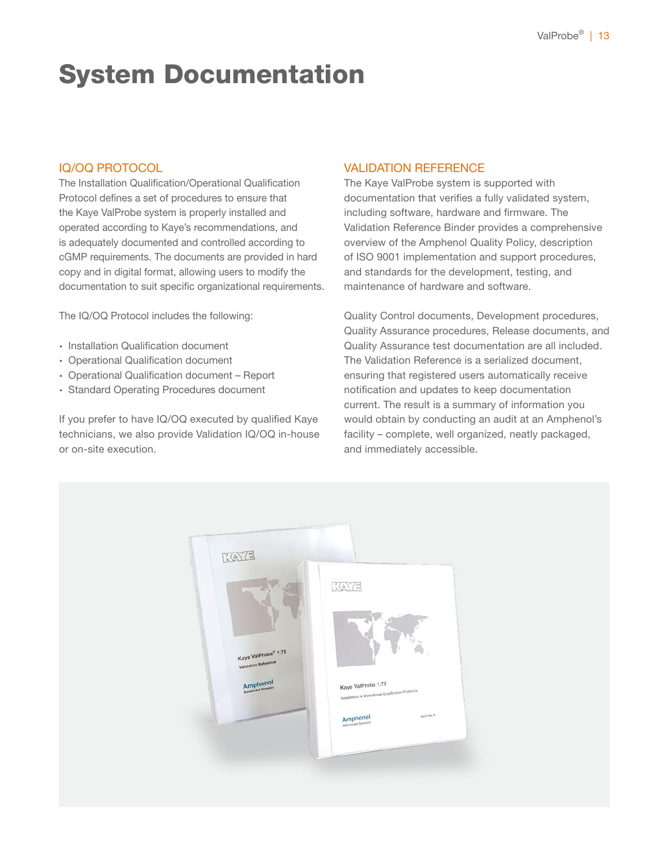### System Documentation

### IQ/OQ PROTOCOL

The Installation Qualification/Operational Qualification Protocol defines a set of procedures to ensure that the Kaye ValProbe system is properly installed and operated according to Kaye's recommendations, and is adequately documented and controlled according to cGMP requirements. The documents are provided in hard copy and in digital format, allowing users to modify the documentation to suit specific organizational requirements.

The IQ/OQ Protocol includes the following:

- ∙ Installation Qualification document
- ∙ Operational Qualification document
- ∙ Operational Qualification document Report
- ∙ Standard Operating Procedures document

If you prefer to have IQ/OQ executed by qualified Kaye technicians, we also provide Validation IQ/OQ in-house or on-site execution.

### VALIDATION REFERENCE

The Kaye ValProbe system is supported with documentation that verifies a fully validated system, including software, hardware and firmware. The Validation Reference Binder provides a comprehensive overview of the Amphenol Quality Policy, description of ISO 9001 implementation and support procedures, and standards for the development, testing, and maintenance of hardware and software.

Quality Control documents, Development procedures, Quality Assurance procedures, Release documents, and Quality Assurance test documentation are all included. The Validation Reference is a serialized document, ensuring that registered users automatically receive notification and updates to keep documentation current. The result is a summary of information you would obtain by conducting an audit at an Amphenol's facility – complete, well organized, neatly packaged, and immediately accessible.

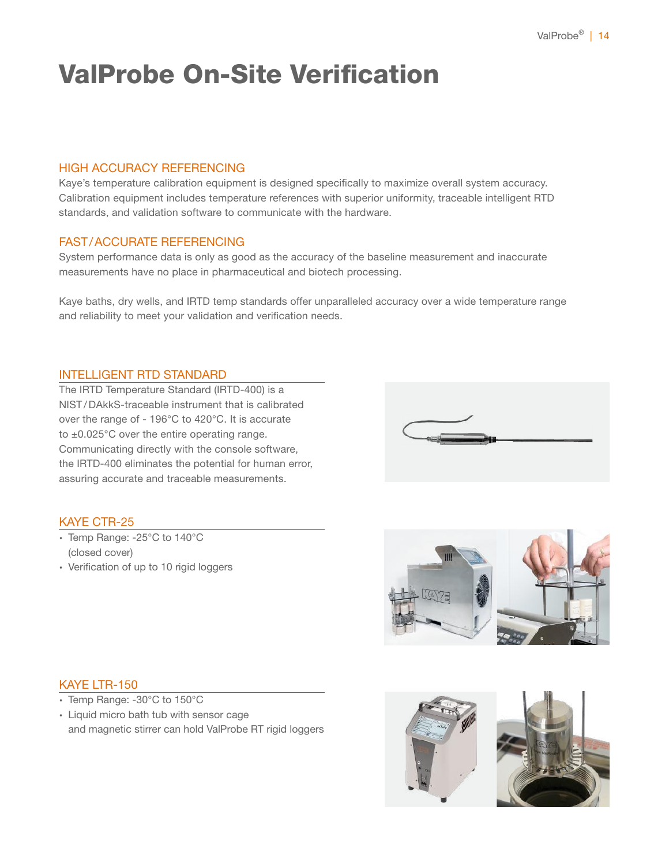# ValProbe On-Site Verification

### HIGH ACCURACY REFERENCING

Kaye's temperature calibration equipment is designed specifically to maximize overall system accuracy. Calibration equipment includes temperature references with superior uniformity, traceable intelligent RTD standards, and validation software to communicate with the hardware.

### FAST/ACCURATE REFERENCING

System performance data is only as good as the accuracy of the baseline measurement and inaccurate measurements have no place in pharmaceutical and biotech processing.

Kaye baths, dry wells, and IRTD temp standards offer unparalleled accuracy over a wide temperature range and reliability to meet your validation and verification needs.

### INTELLIGENT RTD STANDARD

The IRTD Temperature Standard (IRTD-400) is a NIST / DAkkS-traceable instrument that is calibrated over the range of - 196°C to 420°C. It is accurate to ±0.025°C over the entire operating range. Communicating directly with the console software, the IRTD-400 eliminates the potential for human error, assuring accurate and traceable measurements.



### KAYE CTR-25

- ∙ Temp Range: -25°C to 140°C (closed cover)
- ∙ Verification of up to 10 rigid loggers



#### KAYE LTR-150

- ∙ Temp Range: -30°C to 150°C
- ∙ Liquid micro bath tub with sensor cage and magnetic stirrer can hold ValProbe RT rigid loggers

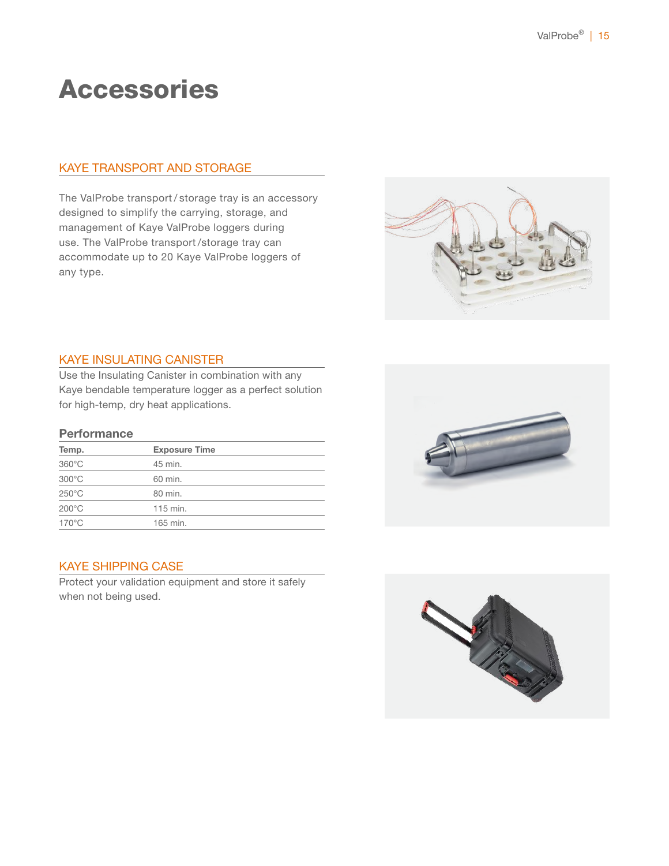### Accessories

### KAYE TRANSPORT AND STORAGE

The ValProbe transport / storage tray is an accessory designed to simplify the carrying, storage, and management of Kaye ValProbe loggers during use. The ValProbe transport /storage tray can accommodate up to 20 Kaye ValProbe loggers of any type.



### KAYE INSULATING CANISTER

Use the Insulating Canister in combination with any Kaye bendable temperature logger as a perfect solution for high-temp, dry heat applications.

#### **Performance**

| Temp.           | <b>Exposure Time</b> |  |
|-----------------|----------------------|--|
| $360^{\circ}$ C | 45 min.              |  |
| $300^{\circ}$ C | 60 min.              |  |
| $250^{\circ}$ C | 80 min.              |  |
| $200^{\circ}$ C | 115 min.             |  |
| $170^{\circ}$ C | 165 min.             |  |

### KAYE SHIPPING CASE

Protect your validation equipment and store it safely when not being used.